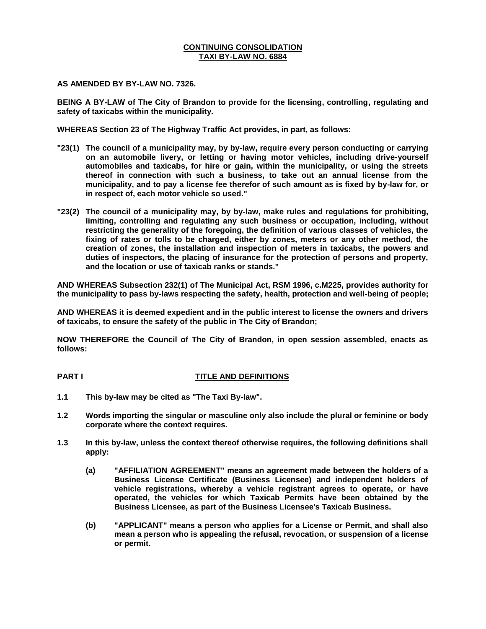#### **CONTINUING CONSOLIDATION TAXI BY-LAW NO. 6884**

**AS AMENDED BY BY-LAW NO. 7326.**

**BEING A BY-LAW of The City of Brandon to provide for the licensing, controlling, regulating and safety of taxicabs within the municipality.**

**WHEREAS Section 23 of The Highway Traffic Act provides, in part, as follows:**

- **"23(1) The council of a municipality may, by by-law, require every person conducting or carrying on an automobile livery, or letting or having motor vehicles, including drive-yourself automobiles and taxicabs, for hire or gain, within the municipality, or using the streets thereof in connection with such a business, to take out an annual license from the municipality, and to pay a license fee therefor of such amount as is fixed by by-law for, or in respect of, each motor vehicle so used."**
- **"23(2) The council of a municipality may, by by-law, make rules and regulations for prohibiting, limiting, controlling and regulating any such business or occupation, including, without restricting the generality of the foregoing, the definition of various classes of vehicles, the fixing of rates or tolls to be charged, either by zones, meters or any other method, the creation of zones, the installation and inspection of meters in taxicabs, the powers and duties of inspectors, the placing of insurance for the protection of persons and property, and the location or use of taxicab ranks or stands."**

**AND WHEREAS Subsection 232(1) of The Municipal Act, RSM 1996, c.M225, provides authority for the municipality to pass by-laws respecting the safety, health, protection and well-being of people;**

**AND WHEREAS it is deemed expedient and in the public interest to license the owners and drivers of taxicabs, to ensure the safety of the public in The City of Brandon;**

**NOW THEREFORE the Council of The City of Brandon, in open session assembled, enacts as follows:**

#### **PART I TITLE AND DEFINITIONS**

- **1.1 This by-law may be cited as "The Taxi By-law".**
- **1.2 Words importing the singular or masculine only also include the plural or feminine or body corporate where the context requires.**
- **1.3 In this by-law, unless the context thereof otherwise requires, the following definitions shall apply:**
	- **(a) "AFFILIATION AGREEMENT" means an agreement made between the holders of a Business License Certificate (Business Licensee) and independent holders of vehicle registrations, whereby a vehicle registrant agrees to operate, or have operated, the vehicles for which Taxicab Permits have been obtained by the Business Licensee, as part of the Business Licensee's Taxicab Business.**
	- **(b) "APPLICANT" means a person who applies for a License or Permit, and shall also mean a person who is appealing the refusal, revocation, or suspension of a license or permit.**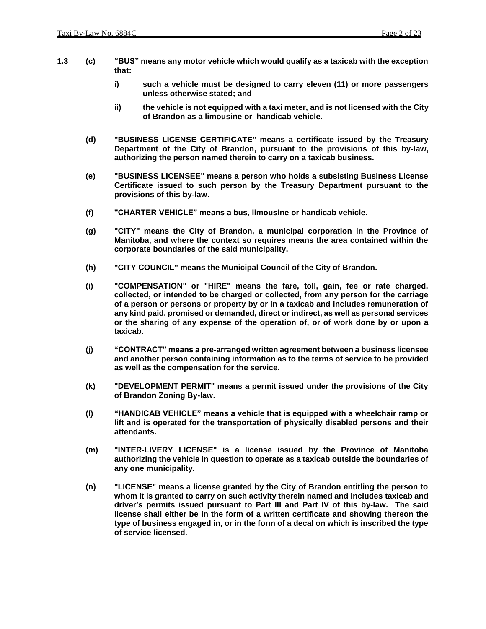- **1.3 (c) "BUS" means any motor vehicle which would qualify as a taxicab with the exception that:**
	- **i) such a vehicle must be designed to carry eleven (11) or more passengers unless otherwise stated; and**
	- **ii) the vehicle is not equipped with a taxi meter, and is not licensed with the City of Brandon as a limousine or handicab vehicle.**
	- **(d) "BUSINESS LICENSE CERTIFICATE" means a certificate issued by the Treasury Department of the City of Brandon, pursuant to the provisions of this by-law, authorizing the person named therein to carry on a taxicab business.**
	- **(e) "BUSINESS LICENSEE" means a person who holds a subsisting Business License Certificate issued to such person by the Treasury Department pursuant to the provisions of this by-law.**
	- **(f) "CHARTER VEHICLE" means a bus, limousine or handicab vehicle.**
	- **(g) "CITY" means the City of Brandon, a municipal corporation in the Province of Manitoba, and where the context so requires means the area contained within the corporate boundaries of the said municipality.**
	- **(h) "CITY COUNCIL" means the Municipal Council of the City of Brandon.**
	- **(i) "COMPENSATION" or "HIRE" means the fare, toll, gain, fee or rate charged, collected, or intended to be charged or collected, from any person for the carriage of a person or persons or property by or in a taxicab and includes remuneration of any kind paid, promised or demanded, direct or indirect, as well as personal services or the sharing of any expense of the operation of, or of work done by or upon a taxicab.**
	- **(j) "CONTRACT" means a pre-arranged written agreement between a business licensee and another person containing information as to the terms of service to be provided as well as the compensation for the service.**
	- **(k) "DEVELOPMENT PERMIT" means a permit issued under the provisions of the City of Brandon Zoning By-law.**
	- **(l) "HANDICAB VEHICLE" means a vehicle that is equipped with a wheelchair ramp or lift and is operated for the transportation of physically disabled persons and their attendants.**
	- **(m) "INTER-LIVERY LICENSE" is a license issued by the Province of Manitoba authorizing the vehicle in question to operate as a taxicab outside the boundaries of any one municipality.**
	- **(n) "LICENSE" means a license granted by the City of Brandon entitling the person to whom it is granted to carry on such activity therein named and includes taxicab and driver's permits issued pursuant to Part III and Part IV of this by-law. The said license shall either be in the form of a written certificate and showing thereon the type of business engaged in, or in the form of a decal on which is inscribed the type of service licensed.**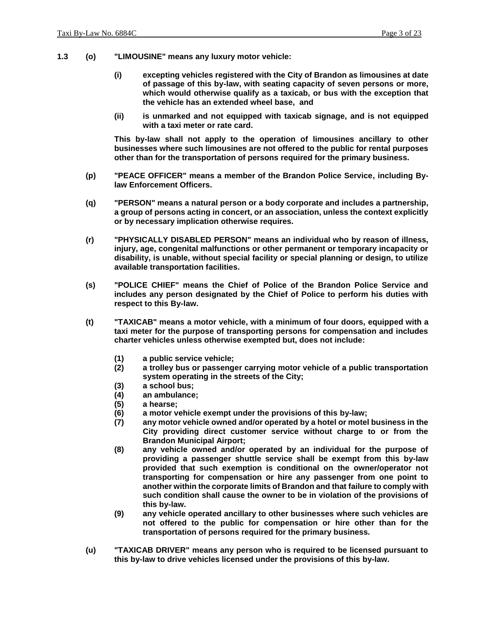- **1.3 (o) "LIMOUSINE" means any luxury motor vehicle:**
	- **(i) excepting vehicles registered with the City of Brandon as limousines at date of passage of this by-law, with seating capacity of seven persons or more, which would otherwise qualify as a taxicab, or bus with the exception that the vehicle has an extended wheel base, and**
	- **(ii) is unmarked and not equipped with taxicab signage, and is not equipped with a taxi meter or rate card.**

**This by-law shall not apply to the operation of limousines ancillary to other businesses where such limousines are not offered to the public for rental purposes other than for the transportation of persons required for the primary business.**

- **(p) "PEACE OFFICER" means a member of the Brandon Police Service, including Bylaw Enforcement Officers.**
- **(q) "PERSON" means a natural person or a body corporate and includes a partnership, a group of persons acting in concert, or an association, unless the context explicitly or by necessary implication otherwise requires.**
- **(r) "PHYSICALLY DISABLED PERSON" means an individual who by reason of illness, injury, age, congenital malfunctions or other permanent or temporary incapacity or disability, is unable, without special facility or special planning or design, to utilize available transportation facilities.**
- **(s) "POLICE CHIEF" means the Chief of Police of the Brandon Police Service and includes any person designated by the Chief of Police to perform his duties with respect to this By-law.**
- **(t) "TAXICAB" means a motor vehicle, with a minimum of four doors, equipped with a taxi meter for the purpose of transporting persons for compensation and includes charter vehicles unless otherwise exempted but, does not include:**
	- **(1) a public service vehicle;**
	- **(2) a trolley bus or passenger carrying motor vehicle of a public transportation system operating in the streets of the City;**
	- **(3) a school bus;**
	- **(4) an ambulance;**
	- **(5) a hearse;**
	- **(6) a motor vehicle exempt under the provisions of this by-law;**
	- **(7) any motor vehicle owned and/or operated by a hotel or motel business in the City providing direct customer service without charge to or from the Brandon Municipal Airport;**
	- **(8) any vehicle owned and/or operated by an individual for the purpose of providing a passenger shuttle service shall be exempt from this by-law provided that such exemption is conditional on the owner/operator not transporting for compensation or hire any passenger from one point to another within the corporate limits of Brandon and that failure to comply with such condition shall cause the owner to be in violation of the provisions of this by-law.**
	- **(9) any vehicle operated ancillary to other businesses where such vehicles are not offered to the public for compensation or hire other than for the transportation of persons required for the primary business.**
- **(u) "TAXICAB DRIVER" means any person who is required to be licensed pursuant to this by-law to drive vehicles licensed under the provisions of this by-law.**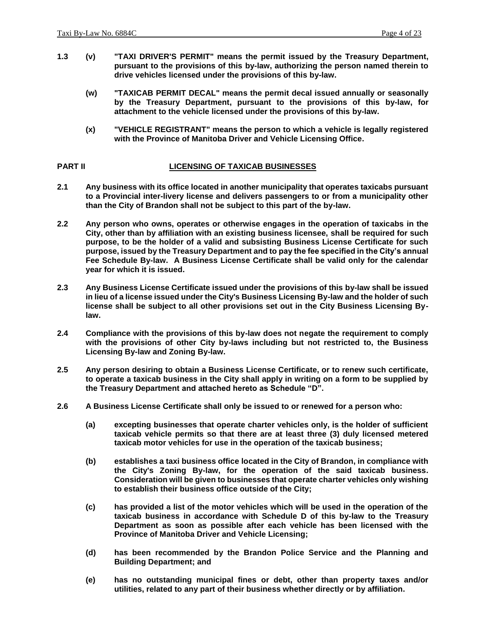- **1.3 (v) "TAXI DRIVER'S PERMIT" means the permit issued by the Treasury Department, pursuant to the provisions of this by-law, authorizing the person named therein to drive vehicles licensed under the provisions of this by-law.**
	- **(w) "TAXICAB PERMIT DECAL" means the permit decal issued annually or seasonally by the Treasury Department, pursuant to the provisions of this by-law, for attachment to the vehicle licensed under the provisions of this by-law.**
	- **(x) "VEHICLE REGISTRANT" means the person to which a vehicle is legally registered with the Province of Manitoba Driver and Vehicle Licensing Office.**

#### **PART II LICENSING OF TAXICAB BUSINESSES**

- **2.1 Any business with its office located in another municipality that operates taxicabs pursuant to a Provincial inter-livery license and delivers passengers to or from a municipality other than the City of Brandon shall not be subject to this part of the by-law.**
- **2.2 Any person who owns, operates or otherwise engages in the operation of taxicabs in the City, other than by affiliation with an existing business licensee, shall be required for such purpose, to be the holder of a valid and subsisting Business License Certificate for such purpose, issued by the Treasury Department and to pay the fee specified in the City's annual Fee Schedule By-law. A Business License Certificate shall be valid only for the calendar year for which it is issued.**
- **2.3 Any Business License Certificate issued under the provisions of this by-law shall be issued in lieu of a license issued under the City's Business Licensing By-law and the holder of such license shall be subject to all other provisions set out in the City Business Licensing Bylaw.**
- **2.4 Compliance with the provisions of this by-law does not negate the requirement to comply with the provisions of other City by-laws including but not restricted to, the Business Licensing By-law and Zoning By-law.**
- **2.5 Any person desiring to obtain a Business License Certificate, or to renew such certificate, to operate a taxicab business in the City shall apply in writing on a form to be supplied by the Treasury Department and attached hereto as Schedule "D".**
- **2.6 A Business License Certificate shall only be issued to or renewed for a person who:**
	- **(a) excepting businesses that operate charter vehicles only, is the holder of sufficient taxicab vehicle permits so that there are at least three (3) duly licensed metered taxicab motor vehicles for use in the operation of the taxicab business;**
	- **(b) establishes a taxi business office located in the City of Brandon, in compliance with the City's Zoning By-law, for the operation of the said taxicab business. Consideration will be given to businesses that operate charter vehicles only wishing to establish their business office outside of the City;**
	- **(c) has provided a list of the motor vehicles which will be used in the operation of the taxicab business in accordance with Schedule D of this by-law to the Treasury Department as soon as possible after each vehicle has been licensed with the Province of Manitoba Driver and Vehicle Licensing;**
	- **(d) has been recommended by the Brandon Police Service and the Planning and Building Department; and**
	- **(e) has no outstanding municipal fines or debt, other than property taxes and/or utilities, related to any part of their business whether directly or by affiliation.**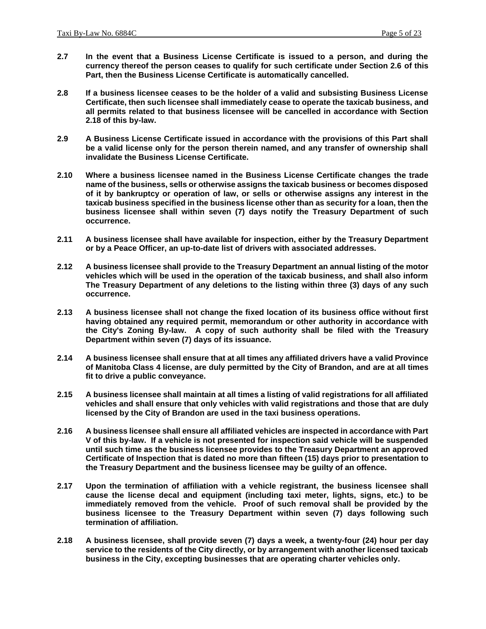- **2.7 In the event that a Business License Certificate is issued to a person, and during the currency thereof the person ceases to qualify for such certificate under Section 2.6 of this Part, then the Business License Certificate is automatically cancelled.**
- **2.8 If a business licensee ceases to be the holder of a valid and subsisting Business License Certificate, then such licensee shall immediately cease to operate the taxicab business, and all permits related to that business licensee will be cancelled in accordance with Section 2.18 of this by-law.**
- **2.9 A Business License Certificate issued in accordance with the provisions of this Part shall be a valid license only for the person therein named, and any transfer of ownership shall invalidate the Business License Certificate.**
- **2.10 Where a business licensee named in the Business License Certificate changes the trade name of the business, sells or otherwise assigns the taxicab business or becomes disposed of it by bankruptcy or operation of law, or sells or otherwise assigns any interest in the taxicab business specified in the business license other than as security for a loan, then the business licensee shall within seven (7) days notify the Treasury Department of such occurrence.**
- **2.11 A business licensee shall have available for inspection, either by the Treasury Department or by a Peace Officer, an up-to-date list of drivers with associated addresses.**
- **2.12 A business licensee shall provide to the Treasury Department an annual listing of the motor vehicles which will be used in the operation of the taxicab business, and shall also inform The Treasury Department of any deletions to the listing within three (3) days of any such occurrence.**
- **2.13 A business licensee shall not change the fixed location of its business office without first having obtained any required permit, memorandum or other authority in accordance with the City's Zoning By-law. A copy of such authority shall be filed with the Treasury Department within seven (7) days of its issuance.**
- **2.14 A business licensee shall ensure that at all times any affiliated drivers have a valid Province of Manitoba Class 4 license, are duly permitted by the City of Brandon, and are at all times fit to drive a public conveyance.**
- **2.15 A business licensee shall maintain at all times a listing of valid registrations for all affiliated vehicles and shall ensure that only vehicles with valid registrations and those that are duly licensed by the City of Brandon are used in the taxi business operations.**
- **2.16 A business licensee shall ensure all affiliated vehicles are inspected in accordance with Part V of this by-law. If a vehicle is not presented for inspection said vehicle will be suspended until such time as the business licensee provides to the Treasury Department an approved Certificate of Inspection that is dated no more than fifteen (15) days prior to presentation to the Treasury Department and the business licensee may be guilty of an offence.**
- **2.17 Upon the termination of affiliation with a vehicle registrant, the business licensee shall cause the license decal and equipment (including taxi meter, lights, signs, etc.) to be immediately removed from the vehicle. Proof of such removal shall be provided by the business licensee to the Treasury Department within seven (7) days following such termination of affiliation.**
- **2.18 A business licensee, shall provide seven (7) days a week, a twenty-four (24) hour per day service to the residents of the City directly, or by arrangement with another licensed taxicab business in the City, excepting businesses that are operating charter vehicles only.**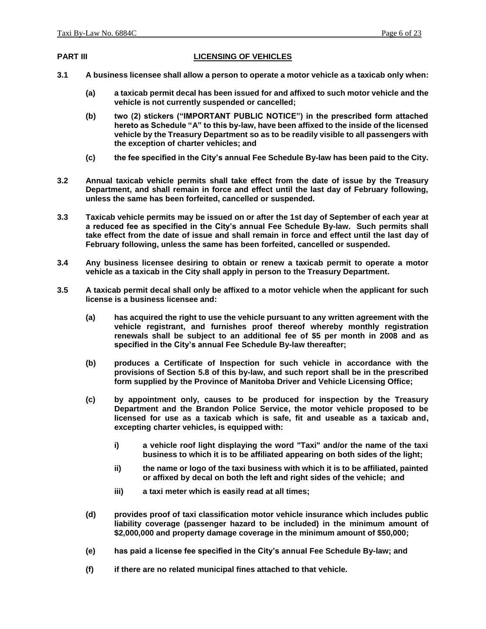#### **PART III LICENSING OF VEHICLES**

- **3.1 A business licensee shall allow a person to operate a motor vehicle as a taxicab only when:**
	- **(a) a taxicab permit decal has been issued for and affixed to such motor vehicle and the vehicle is not currently suspended or cancelled;**
	- **(b) two (2) stickers ("IMPORTANT PUBLIC NOTICE") in the prescribed form attached hereto as Schedule "A" to this by-law, have been affixed to the inside of the licensed vehicle by the Treasury Department so as to be readily visible to all passengers with the exception of charter vehicles; and**
	- **(c) the fee specified in the City's annual Fee Schedule By-law has been paid to the City.**
- **3.2 Annual taxicab vehicle permits shall take effect from the date of issue by the Treasury Department, and shall remain in force and effect until the last day of February following, unless the same has been forfeited, cancelled or suspended.**
- **3.3 Taxicab vehicle permits may be issued on or after the 1st day of September of each year at a reduced fee as specified in the City's annual Fee Schedule By-law. Such permits shall take effect from the date of issue and shall remain in force and effect until the last day of February following, unless the same has been forfeited, cancelled or suspended.**
- **3.4 Any business licensee desiring to obtain or renew a taxicab permit to operate a motor vehicle as a taxicab in the City shall apply in person to the Treasury Department.**
- **3.5 A taxicab permit decal shall only be affixed to a motor vehicle when the applicant for such license is a business licensee and:**
	- **(a) has acquired the right to use the vehicle pursuant to any written agreement with the vehicle registrant, and furnishes proof thereof whereby monthly registration renewals shall be subject to an additional fee of \$5 per month in 2008 and as specified in the City's annual Fee Schedule By-law thereafter;**
	- **(b) produces a Certificate of Inspection for such vehicle in accordance with the provisions of Section 5.8 of this by-law, and such report shall be in the prescribed form supplied by the Province of Manitoba Driver and Vehicle Licensing Office;**
	- **(c) by appointment only, causes to be produced for inspection by the Treasury Department and the Brandon Police Service, the motor vehicle proposed to be licensed for use as a taxicab which is safe, fit and useable as a taxicab and, excepting charter vehicles, is equipped with:**
		- **i) a vehicle roof light displaying the word "Taxi" and/or the name of the taxi business to which it is to be affiliated appearing on both sides of the light;**
		- **ii) the name or logo of the taxi business with which it is to be affiliated, painted or affixed by decal on both the left and right sides of the vehicle; and**
		- **iii) a taxi meter which is easily read at all times;**
	- **(d) provides proof of taxi classification motor vehicle insurance which includes public liability coverage (passenger hazard to be included) in the minimum amount of \$2,000,000 and property damage coverage in the minimum amount of \$50,000;**
	- **(e) has paid a license fee specified in the City's annual Fee Schedule By-law; and**
	- **(f) if there are no related municipal fines attached to that vehicle.**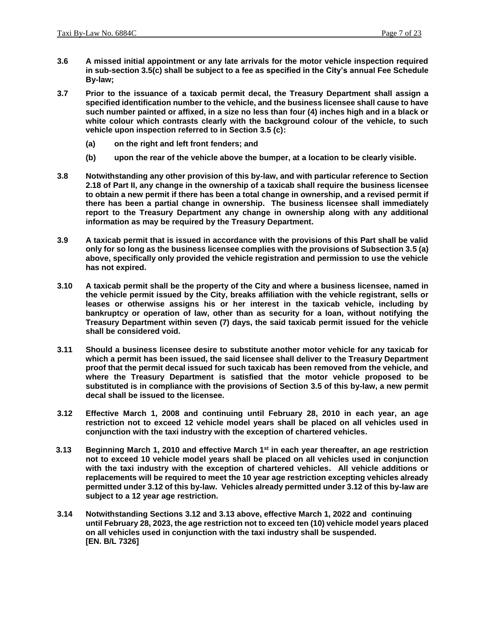- **3.6 A missed initial appointment or any late arrivals for the motor vehicle inspection required in sub-section 3.5(c) shall be subject to a fee as specified in the City's annual Fee Schedule By-law;**
- **3.7 Prior to the issuance of a taxicab permit decal, the Treasury Department shall assign a specified identification number to the vehicle, and the business licensee shall cause to have such number painted or affixed, in a size no less than four (4) inches high and in a black or white colour which contrasts clearly with the background colour of the vehicle, to such vehicle upon inspection referred to in Section 3.5 (c):**
	- **(a) on the right and left front fenders; and**
	- **(b) upon the rear of the vehicle above the bumper, at a location to be clearly visible.**
- **3.8 Notwithstanding any other provision of this by-law, and with particular reference to Section 2.18 of Part II, any change in the ownership of a taxicab shall require the business licensee to obtain a new permit if there has been a total change in ownership, and a revised permit if there has been a partial change in ownership. The business licensee shall immediately report to the Treasury Department any change in ownership along with any additional information as may be required by the Treasury Department.**
- **3.9 A taxicab permit that is issued in accordance with the provisions of this Part shall be valid only for so long as the business licensee complies with the provisions of Subsection 3.5 (a) above, specifically only provided the vehicle registration and permission to use the vehicle has not expired.**
- **3.10 A taxicab permit shall be the property of the City and where a business licensee, named in the vehicle permit issued by the City, breaks affiliation with the vehicle registrant, sells or leases or otherwise assigns his or her interest in the taxicab vehicle, including by bankruptcy or operation of law, other than as security for a loan, without notifying the Treasury Department within seven (7) days, the said taxicab permit issued for the vehicle shall be considered void.**
- **3.11 Should a business licensee desire to substitute another motor vehicle for any taxicab for which a permit has been issued, the said licensee shall deliver to the Treasury Department proof that the permit decal issued for such taxicab has been removed from the vehicle, and where the Treasury Department is satisfied that the motor vehicle proposed to be substituted is in compliance with the provisions of Section 3.5 of this by-law, a new permit decal shall be issued to the licensee.**
- **3.12 Effective March 1, 2008 and continuing until February 28, 2010 in each year, an age restriction not to exceed 12 vehicle model years shall be placed on all vehicles used in conjunction with the taxi industry with the exception of chartered vehicles.**
- **3.13 Beginning March 1, 2010 and effective March 1st in each year thereafter, an age restriction not to exceed 10 vehicle model years shall be placed on all vehicles used in conjunction with the taxi industry with the exception of chartered vehicles. All vehicle additions or replacements will be required to meet the 10 year age restriction excepting vehicles already permitted under 3.12 of this by-law. Vehicles already permitted under 3.12 of this by-law are subject to a 12 year age restriction.**
- **3.14 Notwithstanding Sections 3.12 and 3.13 above, effective March 1, 2022 and continuing until February 28, 2023, the age restriction not to exceed ten (10) vehicle model years placed on all vehicles used in conjunction with the taxi industry shall be suspended. [EN. B/L 7326]**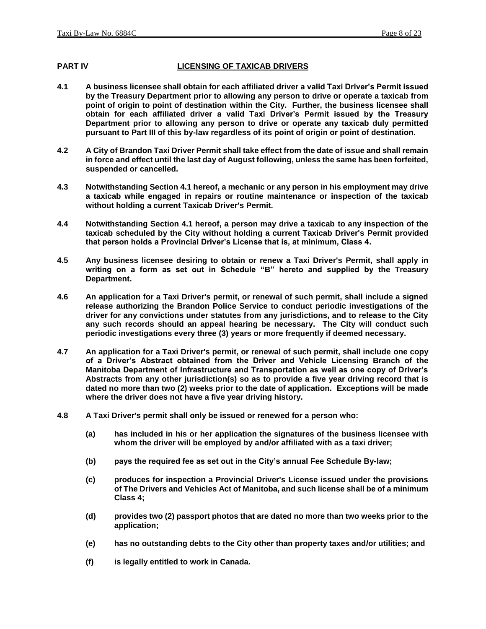#### **PART IV LICENSING OF TAXICAB DRIVERS**

- **4.1 A business licensee shall obtain for each affiliated driver a valid Taxi Driver's Permit issued by the Treasury Department prior to allowing any person to drive or operate a taxicab from point of origin to point of destination within the City. Further, the business licensee shall obtain for each affiliated driver a valid Taxi Driver's Permit issued by the Treasury Department prior to allowing any person to drive or operate any taxicab duly permitted pursuant to Part III of this by-law regardless of its point of origin or point of destination.**
- **4.2 A City of Brandon Taxi Driver Permit shall take effect from the date of issue and shall remain in force and effect until the last day of August following, unless the same has been forfeited, suspended or cancelled.**
- **4.3 Notwithstanding Section 4.1 hereof, a mechanic or any person in his employment may drive a taxicab while engaged in repairs or routine maintenance or inspection of the taxicab without holding a current Taxicab Driver's Permit.**
- **4.4 Notwithstanding Section 4.1 hereof, a person may drive a taxicab to any inspection of the taxicab scheduled by the City without holding a current Taxicab Driver's Permit provided that person holds a Provincial Driver's License that is, at minimum, Class 4.**
- **4.5 Any business licensee desiring to obtain or renew a Taxi Driver's Permit, shall apply in writing on a form as set out in Schedule "B" hereto and supplied by the Treasury Department.**
- **4.6 An application for a Taxi Driver's permit, or renewal of such permit, shall include a signed release authorizing the Brandon Police Service to conduct periodic investigations of the driver for any convictions under statutes from any jurisdictions, and to release to the City any such records should an appeal hearing be necessary. The City will conduct such periodic investigations every three (3) years or more frequently if deemed necessary.**
- **4.7 An application for a Taxi Driver's permit, or renewal of such permit, shall include one copy of a Driver's Abstract obtained from the Driver and Vehicle Licensing Branch of the Manitoba Department of Infrastructure and Transportation as well as one copy of Driver's Abstracts from any other jurisdiction(s) so as to provide a five year driving record that is dated no more than two (2) weeks prior to the date of application. Exceptions will be made where the driver does not have a five year driving history.**
- **4.8 A Taxi Driver's permit shall only be issued or renewed for a person who:**
	- **(a) has included in his or her application the signatures of the business licensee with whom the driver will be employed by and/or affiliated with as a taxi driver;**
	- **(b) pays the required fee as set out in the City's annual Fee Schedule By-law;**
	- **(c) produces for inspection a Provincial Driver's License issued under the provisions of The Drivers and Vehicles Act of Manitoba, and such license shall be of a minimum Class 4;**
	- **(d) provides two (2) passport photos that are dated no more than two weeks prior to the application;**
	- **(e) has no outstanding debts to the City other than property taxes and/or utilities; and**
	- **(f) is legally entitled to work in Canada.**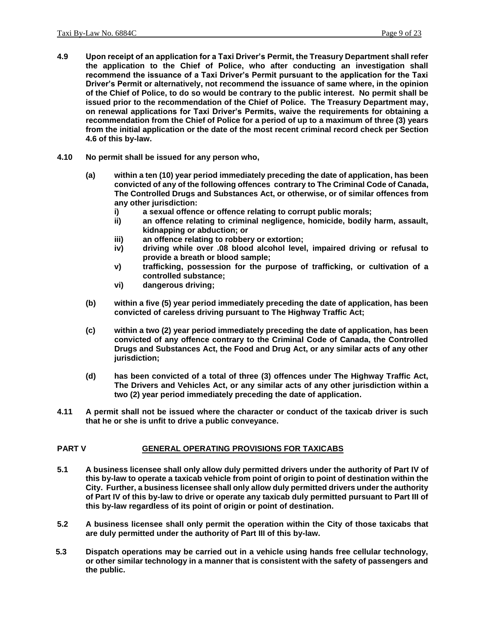- **4.9 Upon receipt of an application for a Taxi Driver's Permit, the Treasury Department shall refer the application to the Chief of Police, who after conducting an investigation shall recommend the issuance of a Taxi Driver's Permit pursuant to the application for the Taxi Driver's Permit or alternatively, not recommend the issuance of same where, in the opinion of the Chief of Police, to do so would be contrary to the public interest. No permit shall be issued prior to the recommendation of the Chief of Police. The Treasury Department may, on renewal applications for Taxi Driver's Permits, waive the requirements for obtaining a recommendation from the Chief of Police for a period of up to a maximum of three (3) years from the initial application or the date of the most recent criminal record check per Section 4.6 of this by-law.**
- **4.10 No permit shall be issued for any person who,** 
	- **(a) within a ten (10) year period immediately preceding the date of application, has been convicted of any of the following offences contrary to The Criminal Code of Canada, The Controlled Drugs and Substances Act, or otherwise, or of similar offences from any other jurisdiction:**
		- **i) a sexual offence or offence relating to corrupt public morals;**
		- **ii) an offence relating to criminal negligence, homicide, bodily harm, assault, kidnapping or abduction; or**
		- **iii) an offence relating to robbery or extortion;**
		- **iv) driving while over .08 blood alcohol level, impaired driving or refusal to provide a breath or blood sample;**
		- **v) trafficking, possession for the purpose of trafficking, or cultivation of a controlled substance;**
		- **vi) dangerous driving;**
	- **(b) within a five (5) year period immediately preceding the date of application, has been convicted of careless driving pursuant to The Highway Traffic Act;**
	- **(c) within a two (2) year period immediately preceding the date of application, has been convicted of any offence contrary to the Criminal Code of Canada, the Controlled Drugs and Substances Act, the Food and Drug Act, or any similar acts of any other jurisdiction;**
	- **(d) has been convicted of a total of three (3) offences under The Highway Traffic Act, The Drivers and Vehicles Act, or any similar acts of any other jurisdiction within a two (2) year period immediately preceding the date of application.**
- **4.11 A permit shall not be issued where the character or conduct of the taxicab driver is such that he or she is unfit to drive a public conveyance.**

#### **PART V GENERAL OPERATING PROVISIONS FOR TAXICABS**

- **5.1 A business licensee shall only allow duly permitted drivers under the authority of Part IV of this by-law to operate a taxicab vehicle from point of origin to point of destination within the City. Further, a business licensee shall only allow duly permitted drivers under the authority of Part IV of this by-law to drive or operate any taxicab duly permitted pursuant to Part III of this by-law regardless of its point of origin or point of destination.**
- **5.2 A business licensee shall only permit the operation within the City of those taxicabs that are duly permitted under the authority of Part III of this by-law.**
- **5.3 Dispatch operations may be carried out in a vehicle using hands free cellular technology, or other similar technology in a manner that is consistent with the safety of passengers and the public.**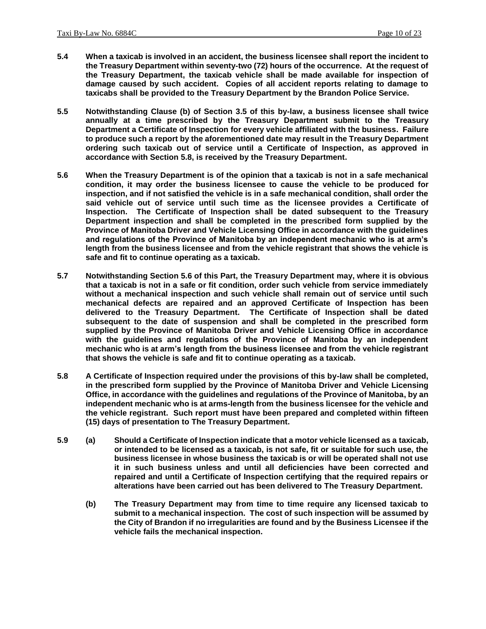- **5.4 When a taxicab is involved in an accident, the business licensee shall report the incident to the Treasury Department within seventy-two (72) hours of the occurrence. At the request of the Treasury Department, the taxicab vehicle shall be made available for inspection of damage caused by such accident. Copies of all accident reports relating to damage to taxicabs shall be provided to the Treasury Department by the Brandon Police Service.**
- **5.5 Notwithstanding Clause (b) of Section 3.5 of this by-law, a business licensee shall twice annually at a time prescribed by the Treasury Department submit to the Treasury Department a Certificate of Inspection for every vehicle affiliated with the business. Failure to produce such a report by the aforementioned date may result in the Treasury Department ordering such taxicab out of service until a Certificate of Inspection, as approved in accordance with Section 5.8, is received by the Treasury Department.**
- **5.6 When the Treasury Department is of the opinion that a taxicab is not in a safe mechanical condition, it may order the business licensee to cause the vehicle to be produced for inspection, and if not satisfied the vehicle is in a safe mechanical condition, shall order the said vehicle out of service until such time as the licensee provides a Certificate of Inspection. The Certificate of Inspection shall be dated subsequent to the Treasury Department inspection and shall be completed in the prescribed form supplied by the Province of Manitoba Driver and Vehicle Licensing Office in accordance with the guidelines and regulations of the Province of Manitoba by an independent mechanic who is at arm's length from the business licensee and from the vehicle registrant that shows the vehicle is safe and fit to continue operating as a taxicab.**
- **5.7 Notwithstanding Section 5.6 of this Part, the Treasury Department may, where it is obvious that a taxicab is not in a safe or fit condition, order such vehicle from service immediately without a mechanical inspection and such vehicle shall remain out of service until such mechanical defects are repaired and an approved Certificate of Inspection has been delivered to the Treasury Department. The Certificate of Inspection shall be dated subsequent to the date of suspension and shall be completed in the prescribed form supplied by the Province of Manitoba Driver and Vehicle Licensing Office in accordance with the guidelines and regulations of the Province of Manitoba by an independent mechanic who is at arm's length from the business licensee and from the vehicle registrant that shows the vehicle is safe and fit to continue operating as a taxicab.**
- **5.8 A Certificate of Inspection required under the provisions of this by-law shall be completed, in the prescribed form supplied by the Province of Manitoba Driver and Vehicle Licensing Office, in accordance with the guidelines and regulations of the Province of Manitoba, by an independent mechanic who is at arms-length from the business licensee for the vehicle and the vehicle registrant. Such report must have been prepared and completed within fifteen (15) days of presentation to The Treasury Department.**
- **5.9 (a) Should a Certificate of Inspection indicate that a motor vehicle licensed as a taxicab, or intended to be licensed as a taxicab, is not safe, fit or suitable for such use, the business licensee in whose business the taxicab is or will be operated shall not use it in such business unless and until all deficiencies have been corrected and repaired and until a Certificate of Inspection certifying that the required repairs or alterations have been carried out has been delivered to The Treasury Department.**
	- **(b) The Treasury Department may from time to time require any licensed taxicab to submit to a mechanical inspection. The cost of such inspection will be assumed by the City of Brandon if no irregularities are found and by the Business Licensee if the vehicle fails the mechanical inspection.**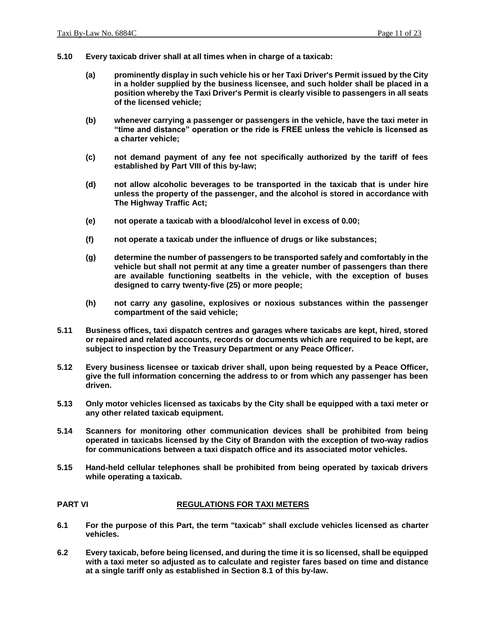- **5.10 Every taxicab driver shall at all times when in charge of a taxicab:**
	- **(a) prominently display in such vehicle his or her Taxi Driver's Permit issued by the City in a holder supplied by the business licensee, and such holder shall be placed in a position whereby the Taxi Driver's Permit is clearly visible to passengers in all seats of the licensed vehicle;**
	- **(b) whenever carrying a passenger or passengers in the vehicle, have the taxi meter in "time and distance" operation or the ride is FREE unless the vehicle is licensed as a charter vehicle;**
	- **(c) not demand payment of any fee not specifically authorized by the tariff of fees established by Part VIII of this by-law;**
	- **(d) not allow alcoholic beverages to be transported in the taxicab that is under hire unless the property of the passenger, and the alcohol is stored in accordance with The Highway Traffic Act;**
	- **(e) not operate a taxicab with a blood/alcohol level in excess of 0.00;**
	- **(f) not operate a taxicab under the influence of drugs or like substances;**
	- **(g) determine the number of passengers to be transported safely and comfortably in the vehicle but shall not permit at any time a greater number of passengers than there are available functioning seatbelts in the vehicle, with the exception of buses designed to carry twenty-five (25) or more people;**
	- **(h) not carry any gasoline, explosives or noxious substances within the passenger compartment of the said vehicle;**
- **5.11 Business offices, taxi dispatch centres and garages where taxicabs are kept, hired, stored or repaired and related accounts, records or documents which are required to be kept, are subject to inspection by the Treasury Department or any Peace Officer.**
- **5.12 Every business licensee or taxicab driver shall, upon being requested by a Peace Officer, give the full information concerning the address to or from which any passenger has been driven.**
- **5.13 Only motor vehicles licensed as taxicabs by the City shall be equipped with a taxi meter or any other related taxicab equipment.**
- **5.14 Scanners for monitoring other communication devices shall be prohibited from being operated in taxicabs licensed by the City of Brandon with the exception of two-way radios for communications between a taxi dispatch office and its associated motor vehicles.**
- **5.15 Hand-held cellular telephones shall be prohibited from being operated by taxicab drivers while operating a taxicab.**

#### **PART VI REGULATIONS FOR TAXI METERS**

- **6.1 For the purpose of this Part, the term "taxicab" shall exclude vehicles licensed as charter vehicles.**
- **6.2 Every taxicab, before being licensed, and during the time it is so licensed, shall be equipped with a taxi meter so adjusted as to calculate and register fares based on time and distance at a single tariff only as established in Section 8.1 of this by-law.**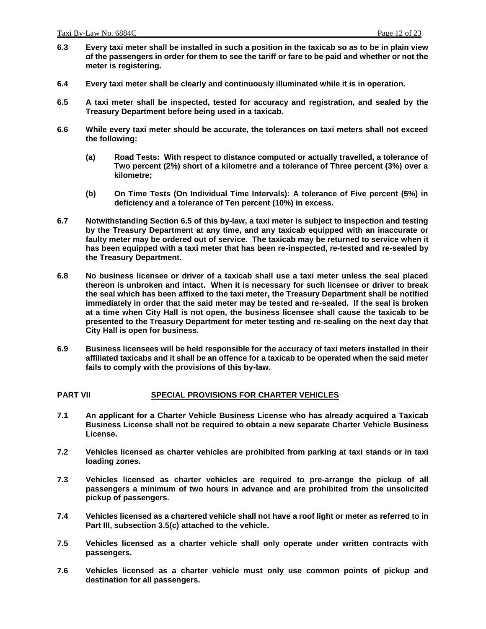- **6.3 Every taxi meter shall be installed in such a position in the taxicab so as to be in plain view of the passengers in order for them to see the tariff or fare to be paid and whether or not the meter is registering.**
- **6.4 Every taxi meter shall be clearly and continuously illuminated while it is in operation.**
- **6.5 A taxi meter shall be inspected, tested for accuracy and registration, and sealed by the Treasury Department before being used in a taxicab.**
- **6.6 While every taxi meter should be accurate, the tolerances on taxi meters shall not exceed the following:**
	- **(a) Road Tests: With respect to distance computed or actually travelled, a tolerance of Two percent (2%) short of a kilometre and a tolerance of Three percent (3%) over a kilometre;**
	- **(b) On Time Tests (On Individual Time Intervals): A tolerance of Five percent (5%) in deficiency and a tolerance of Ten percent (10%) in excess.**
- **6.7 Notwithstanding Section 6.5 of this by-law, a taxi meter is subject to inspection and testing by the Treasury Department at any time, and any taxicab equipped with an inaccurate or faulty meter may be ordered out of service. The taxicab may be returned to service when it has been equipped with a taxi meter that has been re-inspected, re-tested and re-sealed by the Treasury Department.**
- **6.8 No business licensee or driver of a taxicab shall use a taxi meter unless the seal placed thereon is unbroken and intact. When it is necessary for such licensee or driver to break the seal which has been affixed to the taxi meter, the Treasury Department shall be notified immediately in order that the said meter may be tested and re-sealed. If the seal is broken at a time when City Hall is not open, the business licensee shall cause the taxicab to be presented to the Treasury Department for meter testing and re-sealing on the next day that City Hall is open for business.**
- **6.9 Business licensees will be held responsible for the accuracy of taxi meters installed in their affiliated taxicabs and it shall be an offence for a taxicab to be operated when the said meter fails to comply with the provisions of this by-law.**

#### **PART VII SPECIAL PROVISIONS FOR CHARTER VEHICLES**

- **7.1 An applicant for a Charter Vehicle Business License who has already acquired a Taxicab Business License shall not be required to obtain a new separate Charter Vehicle Business License.**
- **7.2 Vehicles licensed as charter vehicles are prohibited from parking at taxi stands or in taxi loading zones.**
- **7.3 Vehicles licensed as charter vehicles are required to pre-arrange the pickup of all passengers a minimum of two hours in advance and are prohibited from the unsolicited pickup of passengers.**
- **7.4 Vehicles licensed as a chartered vehicle shall not have a roof light or meter as referred to in Part III, subsection 3.5(c) attached to the vehicle.**
- **7.5 Vehicles licensed as a charter vehicle shall only operate under written contracts with passengers.**
- **7.6 Vehicles licensed as a charter vehicle must only use common points of pickup and destination for all passengers.**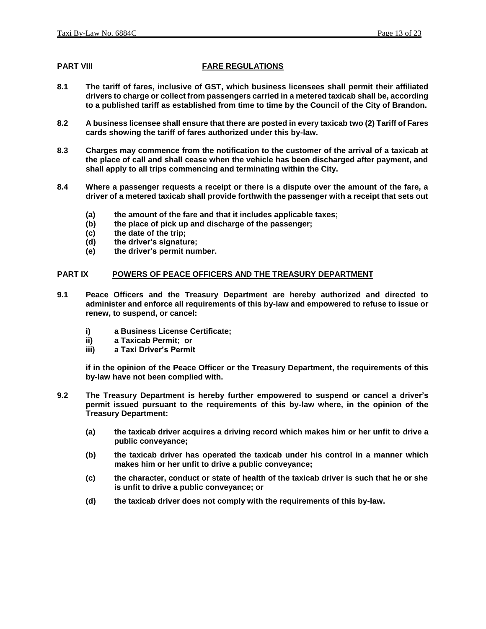#### **PART VIII FARE REGULATIONS**

- **8.1 The tariff of fares, inclusive of GST, which business licensees shall permit their affiliated drivers to charge or collect from passengers carried in a metered taxicab shall be, according to a published tariff as established from time to time by the Council of the City of Brandon.**
- **8.2 A business licensee shall ensure that there are posted in every taxicab two (2) Tariff of Fares cards showing the tariff of fares authorized under this by-law.**
- **8.3 Charges may commence from the notification to the customer of the arrival of a taxicab at the place of call and shall cease when the vehicle has been discharged after payment, and shall apply to all trips commencing and terminating within the City.**
- **8.4 Where a passenger requests a receipt or there is a dispute over the amount of the fare, a driver of a metered taxicab shall provide forthwith the passenger with a receipt that sets out**
	- **(a) the amount of the fare and that it includes applicable taxes;**
	- **(b) the place of pick up and discharge of the passenger;**
	- **(c) the date of the trip;**
	- **(d) the driver's signature;**
	- **(e) the driver's permit number.**

#### **PART IX POWERS OF PEACE OFFICERS AND THE TREASURY DEPARTMENT**

- **9.1 Peace Officers and the Treasury Department are hereby authorized and directed to administer and enforce all requirements of this by-law and empowered to refuse to issue or renew, to suspend, or cancel:**
	- **i) a Business License Certificate;**
	- **ii) a Taxicab Permit; or**
	- **iii) a Taxi Driver's Permit**

**if in the opinion of the Peace Officer or the Treasury Department, the requirements of this by-law have not been complied with.**

- **9.2 The Treasury Department is hereby further empowered to suspend or cancel a driver's permit issued pursuant to the requirements of this by-law where, in the opinion of the Treasury Department:**
	- **(a) the taxicab driver acquires a driving record which makes him or her unfit to drive a public conveyance;**
	- **(b) the taxicab driver has operated the taxicab under his control in a manner which makes him or her unfit to drive a public conveyance;**
	- **(c) the character, conduct or state of health of the taxicab driver is such that he or she is unfit to drive a public conveyance; or**
	- **(d) the taxicab driver does not comply with the requirements of this by-law.**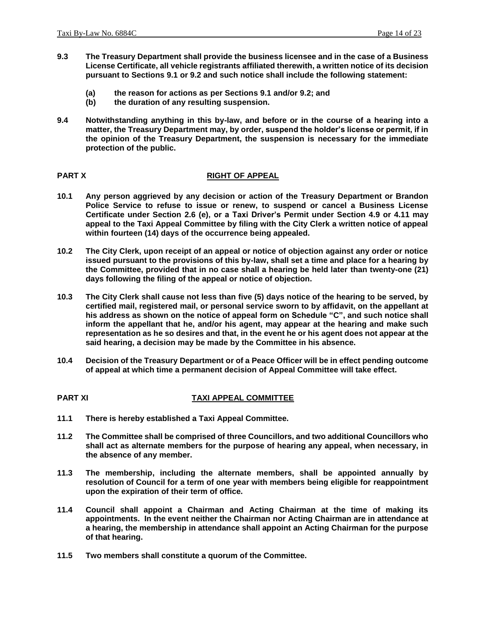- **9.3 The Treasury Department shall provide the business licensee and in the case of a Business License Certificate, all vehicle registrants affiliated therewith, a written notice of its decision pursuant to Sections 9.1 or 9.2 and such notice shall include the following statement:**
	- **(a) the reason for actions as per Sections 9.1 and/or 9.2; and**
	- **(b) the duration of any resulting suspension.**
- **9.4 Notwithstanding anything in this by-law, and before or in the course of a hearing into a matter, the Treasury Department may, by order, suspend the holder's license or permit, if in the opinion of the Treasury Department, the suspension is necessary for the immediate protection of the public.**

### **PART X RIGHT OF APPEAL**

- **10.1 Any person aggrieved by any decision or action of the Treasury Department or Brandon Police Service to refuse to issue or renew, to suspend or cancel a Business License Certificate under Section 2.6 (e), or a Taxi Driver's Permit under Section 4.9 or 4.11 may appeal to the Taxi Appeal Committee by filing with the City Clerk a written notice of appeal within fourteen (14) days of the occurrence being appealed.**
- **10.2 The City Clerk, upon receipt of an appeal or notice of objection against any order or notice issued pursuant to the provisions of this by-law, shall set a time and place for a hearing by the Committee, provided that in no case shall a hearing be held later than twenty-one (21) days following the filing of the appeal or notice of objection.**
- **10.3 The City Clerk shall cause not less than five (5) days notice of the hearing to be served, by certified mail, registered mail, or personal service sworn to by affidavit, on the appellant at his address as shown on the notice of appeal form on Schedule "C", and such notice shall inform the appellant that he, and/or his agent, may appear at the hearing and make such representation as he so desires and that, in the event he or his agent does not appear at the said hearing, a decision may be made by the Committee in his absence.**
- **10.4 Decision of the Treasury Department or of a Peace Officer will be in effect pending outcome of appeal at which time a permanent decision of Appeal Committee will take effect.**

#### **PART XI TAXI APPEAL COMMITTEE**

- **11.1 There is hereby established a Taxi Appeal Committee.**
- **11.2 The Committee shall be comprised of three Councillors, and two additional Councillors who shall act as alternate members for the purpose of hearing any appeal, when necessary, in the absence of any member.**
- **11.3 The membership, including the alternate members, shall be appointed annually by resolution of Council for a term of one year with members being eligible for reappointment upon the expiration of their term of office.**
- **11.4 Council shall appoint a Chairman and Acting Chairman at the time of making its appointments. In the event neither the Chairman nor Acting Chairman are in attendance at a hearing, the membership in attendance shall appoint an Acting Chairman for the purpose of that hearing.**
- **11.5 Two members shall constitute a quorum of the Committee.**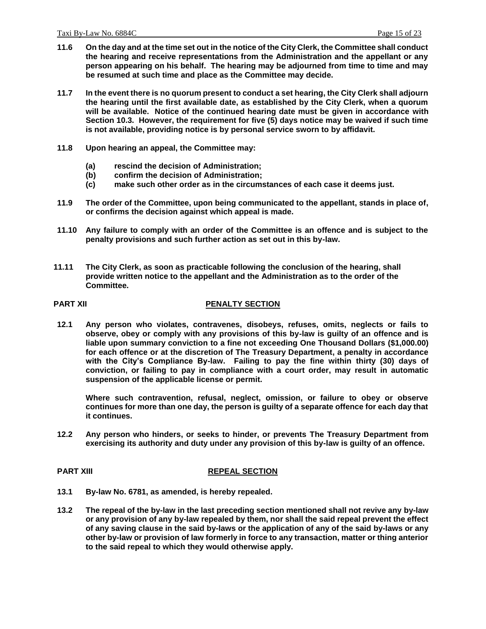- **11.6 On the day and at the time set out in the notice of the City Clerk, the Committee shall conduct the hearing and receive representations from the Administration and the appellant or any person appearing on his behalf. The hearing may be adjourned from time to time and may be resumed at such time and place as the Committee may decide.**
- **11.7 In the event there is no quorum present to conduct a set hearing, the City Clerk shall adjourn the hearing until the first available date, as established by the City Clerk, when a quorum will be available. Notice of the continued hearing date must be given in accordance with Section 10.3. However, the requirement for five (5) days notice may be waived if such time is not available, providing notice is by personal service sworn to by affidavit.**
- **11.8 Upon hearing an appeal, the Committee may:**
	- **(a) rescind the decision of Administration;**
	- **(b) confirm the decision of Administration;**
	- **(c) make such other order as in the circumstances of each case it deems just.**
- **11.9 The order of the Committee, upon being communicated to the appellant, stands in place of, or confirms the decision against which appeal is made.**
- **11.10 Any failure to comply with an order of the Committee is an offence and is subject to the penalty provisions and such further action as set out in this by-law.**
- **11.11 The City Clerk, as soon as practicable following the conclusion of the hearing, shall provide written notice to the appellant and the Administration as to the order of the Committee.**

#### **PART XII PENALTY SECTION**

**12.1 Any person who violates, contravenes, disobeys, refuses, omits, neglects or fails to observe, obey or comply with any provisions of this by-law is guilty of an offence and is liable upon summary conviction to a fine not exceeding One Thousand Dollars (\$1,000.00) for each offence or at the discretion of The Treasury Department, a penalty in accordance with the City's Compliance By-law. Failing to pay the fine within thirty (30) days of conviction, or failing to pay in compliance with a court order, may result in automatic suspension of the applicable license or permit.**

**Where such contravention, refusal, neglect, omission, or failure to obey or observe continues for more than one day, the person is guilty of a separate offence for each day that it continues.**

**12.2 Any person who hinders, or seeks to hinder, or prevents The Treasury Department from exercising its authority and duty under any provision of this by-law is guilty of an offence.**

#### **PART XIII REPEAL SECTION**

- **13.1 By-law No. 6781, as amended, is hereby repealed.**
- **13.2 The repeal of the by-law in the last preceding section mentioned shall not revive any by-law or any provision of any by-law repealed by them, nor shall the said repeal prevent the effect of any saving clause in the said by-laws or the application of any of the said by-laws or any other by-law or provision of law formerly in force to any transaction, matter or thing anterior to the said repeal to which they would otherwise apply.**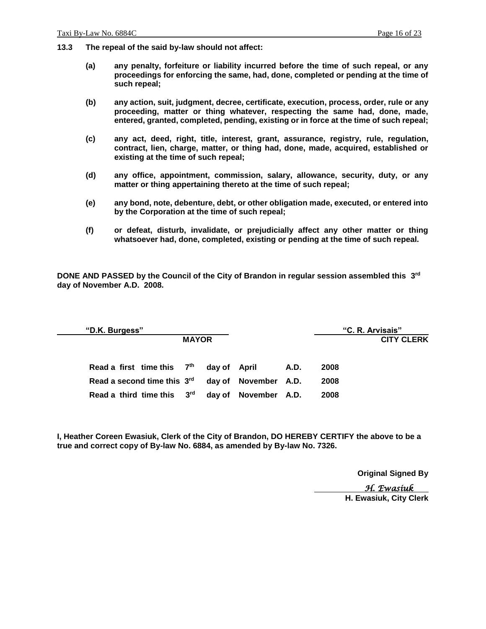- **13.3 The repeal of the said by-law should not affect:**
	- **(a) any penalty, forfeiture or liability incurred before the time of such repeal, or any proceedings for enforcing the same, had, done, completed or pending at the time of such repeal;**
	- **(b) any action, suit, judgment, decree, certificate, execution, process, order, rule or any proceeding, matter or thing whatever, respecting the same had, done, made, entered, granted, completed, pending, existing or in force at the time of such repeal;**
	- **(c) any act, deed, right, title, interest, grant, assurance, registry, rule, regulation, contract, lien, charge, matter, or thing had, done, made, acquired, established or existing at the time of such repeal;**
	- **(d) any office, appointment, commission, salary, allowance, security, duty, or any matter or thing appertaining thereto at the time of such repeal;**
	- **(e) any bond, note, debenture, debt, or other obligation made, executed, or entered into by the Corporation at the time of such repeal;**
	- **(f) or defeat, disturb, invalidate, or prejudicially affect any other matter or thing whatsoever had, done, completed, existing or pending at the time of such repeal.**

**DONE AND PASSED by the Council of the City of Brandon in regular session assembled this 3 rd day of November A.D. 2008.**

| "D.K. Burgess"                                               |              |              |                      |      |      | "C. R. Arvisais"  |
|--------------------------------------------------------------|--------------|--------------|----------------------|------|------|-------------------|
|                                                              | <b>MAYOR</b> |              |                      |      |      | <b>CITY CLERK</b> |
|                                                              |              |              |                      |      |      |                   |
| Read a first time this 7th                                   |              | day of April |                      | A.D. | 2008 |                   |
| Read a second time this 3 <sup>rd</sup> day of November A.D. |              |              |                      |      | 2008 |                   |
| Read a third time this 3rd                                   |              |              | day of November A.D. |      | 2008 |                   |
|                                                              |              |              |                      |      |      |                   |

**I, Heather Coreen Ewasiuk, Clerk of the City of Brandon, DO HEREBY CERTIFY the above to be a true and correct copy of By-law No. 6884, as amended by By-law No. 7326.**

**Original Signed By**

 *H. Ewasiuk* 

**H. Ewasiuk, City Clerk**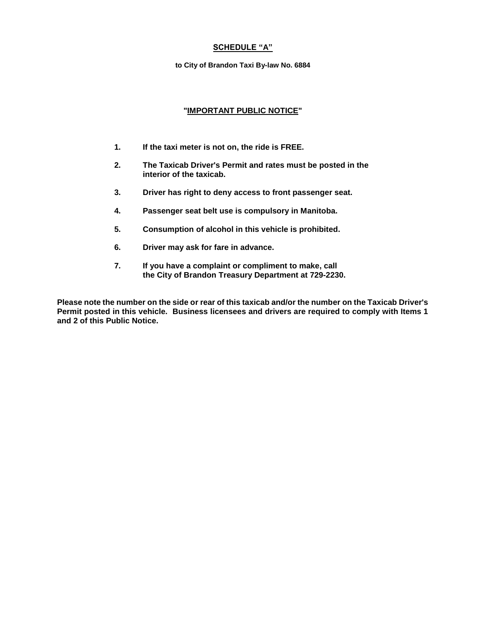#### **SCHEDULE "A"**

**to City of Brandon Taxi By-law No. 6884**

#### **"IMPORTANT PUBLIC NOTICE"**

- **1. If the taxi meter is not on, the ride is FREE.**
- **2. The Taxicab Driver's Permit and rates must be posted in the interior of the taxicab.**
- **3. Driver has right to deny access to front passenger seat.**
- **4. Passenger seat belt use is compulsory in Manitoba.**
- **5. Consumption of alcohol in this vehicle is prohibited.**
- **6. Driver may ask for fare in advance.**
- **7. If you have a complaint or compliment to make, call the City of Brandon Treasury Department at 729-2230.**

**Please note the number on the side or rear of this taxicab and/or the number on the Taxicab Driver's Permit posted in this vehicle. Business licensees and drivers are required to comply with Items 1 and 2 of this Public Notice.**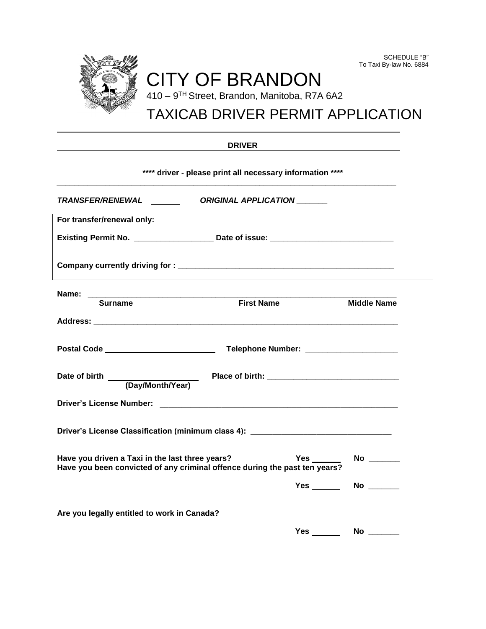

SCHEDULE "B"

| w<br>٠. |
|---------|
|---------|

### **\*\*\*\* driver - please print all necessary information \*\*\*\***

*\_\_\_\_\_\_\_\_\_\_\_\_\_\_\_\_\_\_\_\_\_\_\_\_\_\_\_\_\_\_\_\_\_\_\_\_\_\_\_\_\_\_\_\_\_\_\_\_\_\_\_\_\_\_\_\_\_\_\_\_\_\_\_\_\_\_\_\_\_\_\_\_\_\_\_\_\_*

| TRANSFER/RENEWAL ________ ORIGINAL APPLICATION ______ |                                                                                  |                         |
|-------------------------------------------------------|----------------------------------------------------------------------------------|-------------------------|
| For transfer/renewal only:                            |                                                                                  |                         |
|                                                       | Existing Permit No. ______________________ Date of issue: ______________________ |                         |
|                                                       |                                                                                  |                         |
| <b>Surname</b>                                        | <b>First Name</b>                                                                | <b>Middle Name</b>      |
|                                                       |                                                                                  |                         |
|                                                       |                                                                                  |                         |
|                                                       |                                                                                  |                         |
|                                                       |                                                                                  |                         |
|                                                       | Driver's License Classification (minimum class 4): _____________________________ |                         |
| Have you driven a Taxi in the last three years?       | Have you been convicted of any criminal offence during the past ten years?       | Yes ________ No _______ |
|                                                       |                                                                                  | Yes No 1986             |
| Are you legally entitled to work in Canada?           |                                                                                  |                         |
|                                                       | $Yes \_\_$                                                                       |                         |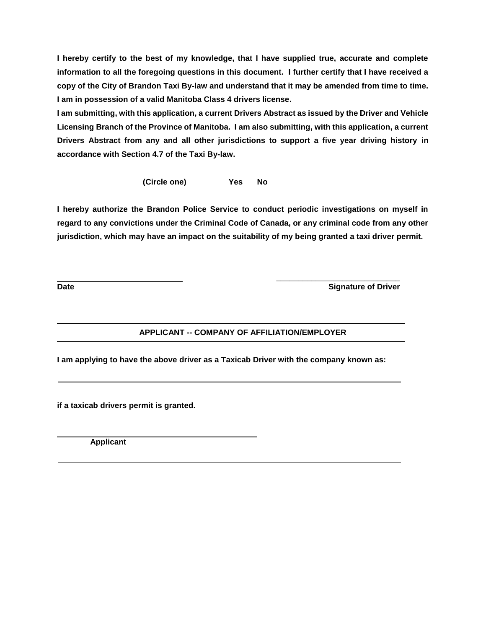**I hereby certify to the best of my knowledge, that I have supplied true, accurate and complete information to all the foregoing questions in this document. I further certify that I have received a copy of the City of Brandon Taxi By-law and understand that it may be amended from time to time. I am in possession of a valid Manitoba Class 4 drivers license.**

**I am submitting, with this application, a current Drivers Abstract as issued by the Driver and Vehicle Licensing Branch of the Province of Manitoba. I am also submitting, with this application, a current Drivers Abstract from any and all other jurisdictions to support a five year driving history in accordance with Section 4.7 of the Taxi By-law.**

**(Circle one) Yes No**

**I hereby authorize the Brandon Police Service to conduct periodic investigations on myself in regard to any convictions under the Criminal Code of Canada, or any criminal code from any other jurisdiction, which may have an impact on the suitability of my being granted a taxi driver permit.** 

**Date** Signature of Driver

### **APPLICANT -- COMPANY OF AFFILIATION/EMPLOYER**

**I am applying to have the above driver as a Taxicab Driver with the company known as:**

 **\_\_\_\_\_\_\_\_\_\_\_\_\_\_\_\_\_\_\_\_\_\_\_\_\_\_\_\_**

**if a taxicab drivers permit is granted.**

 **Applicant**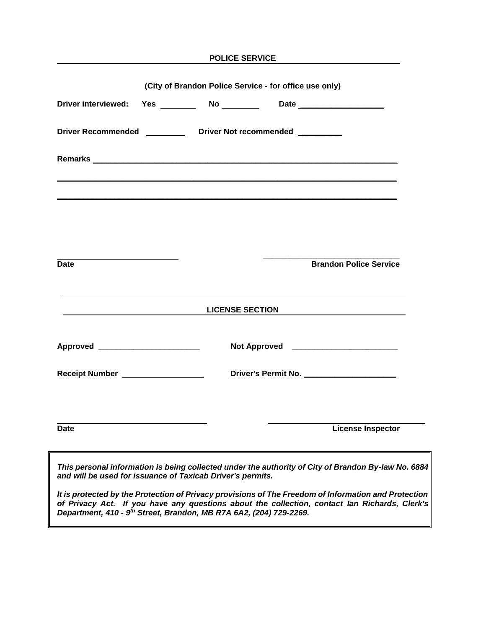|                                                                 |  |                                                                             |  | POLICE SERVICE                                                       |  |  |
|-----------------------------------------------------------------|--|-----------------------------------------------------------------------------|--|----------------------------------------------------------------------|--|--|
| (City of Brandon Police Service - for office use only)          |  |                                                                             |  |                                                                      |  |  |
|                                                                 |  |                                                                             |  | Driver interviewed: Yes ________ No ________ Date __________________ |  |  |
| Driver Recommended ___________ Driver Not recommended _________ |  |                                                                             |  |                                                                      |  |  |
|                                                                 |  |                                                                             |  |                                                                      |  |  |
|                                                                 |  |                                                                             |  |                                                                      |  |  |
|                                                                 |  |                                                                             |  |                                                                      |  |  |
|                                                                 |  |                                                                             |  |                                                                      |  |  |
| <b>Date</b>                                                     |  |                                                                             |  | <b>Brandon Police Service</b>                                        |  |  |
|                                                                 |  | <u> 1989 - Johann Barnett, fransk politiker (</u><br><b>LICENSE SECTION</b> |  |                                                                      |  |  |
|                                                                 |  |                                                                             |  | Not Approved ___________________________                             |  |  |
|                                                                 |  |                                                                             |  |                                                                      |  |  |
| Receipt Number __________________                               |  |                                                                             |  | Driver's Permit No. ________________________                         |  |  |
|                                                                 |  |                                                                             |  |                                                                      |  |  |

*It is protected by the Protection of Privacy provisions of The Freedom of Information and Protection of Privacy Act. If you have any questions about the collection, contact Ian Richards, Clerk's Department, 410 - 9 th Street, Brandon, MB R7A 6A2, (204) 729-2269.*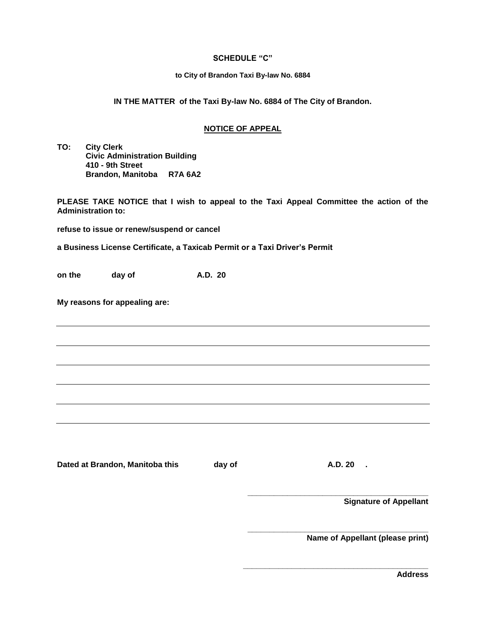#### **SCHEDULE "C"**

#### **to City of Brandon Taxi By-law No. 6884**

#### **IN THE MATTER of the Taxi By-law No. 6884 of The City of Brandon.**

#### **NOTICE OF APPEAL**

**TO: City Clerk Civic Administration Building 410 - 9th Street Brandon, Manitoba R7A 6A2**

**PLEASE TAKE NOTICE that I wish to appeal to the Taxi Appeal Committee the action of the Administration to:**

**refuse to issue or renew/suspend or cancel**

**a Business License Certificate, a Taxicab Permit or a Taxi Driver's Permit**

**on the day of A.D. 20** 

**My reasons for appealing are:**

Dated at Brandon, Manitoba this day of **A.D. 20** .

**\_\_\_\_\_\_\_\_\_\_\_\_\_\_\_\_\_\_\_\_\_\_\_\_\_\_\_\_\_\_\_\_\_\_\_\_\_\_\_\_\_** 

**\_\_\_\_\_\_\_\_\_\_\_\_\_\_\_\_\_\_\_\_\_\_\_\_\_\_\_\_\_\_\_\_\_\_\_\_\_\_\_\_\_** 

**\_\_\_\_\_\_\_\_\_\_\_\_\_\_\_\_\_\_\_\_\_\_\_\_\_\_\_\_\_\_\_\_\_\_\_\_\_\_\_\_\_\_**

**Signature of Appellant**

**Name of Appellant (please print)**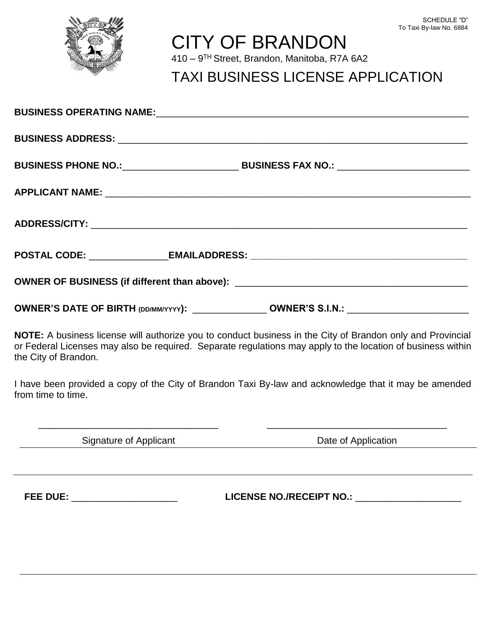

# CITY OF BRANDON

410 – 9 TH Street, Brandon, Manitoba, R7A 6A2

## TAXI BUSINESS LICENSE APPLICATION

|                      | OWNER OF BUSINESS (if different than above): ___________________________________                                                                                                                                          |
|----------------------|---------------------------------------------------------------------------------------------------------------------------------------------------------------------------------------------------------------------------|
|                      | OWNER'S DATE OF BIRTH (DD/MM/YYYY): ________________ OWNER'S S.I.N.: ______________________________                                                                                                                       |
| the City of Brandon. | NOTE: A business license will authorize you to conduct business in the City of Brandon only and Provincial<br>or Federal Licenses may also be required. Separate regulations may apply to the location of business within |
| from time to time.   | I have been provided a copy of the City of Brandon Taxi By-law and acknowledge that it may be amended                                                                                                                     |

\_\_\_\_\_\_\_\_\_\_\_\_\_\_\_\_\_\_\_\_\_\_\_\_\_\_\_\_\_\_\_\_\_\_ \_\_\_\_\_\_\_\_\_\_\_\_\_\_\_\_\_\_\_\_\_\_\_\_\_\_\_\_\_\_\_\_\_\_

Signature of Applicant **Date of Application** 

**FEE DUE:** \_\_\_\_\_\_\_\_\_\_\_\_\_\_\_\_\_\_\_\_ **LICENSE NO./RECEIPT NO.:** \_\_\_\_\_\_\_\_\_\_\_\_\_\_\_\_\_\_\_\_